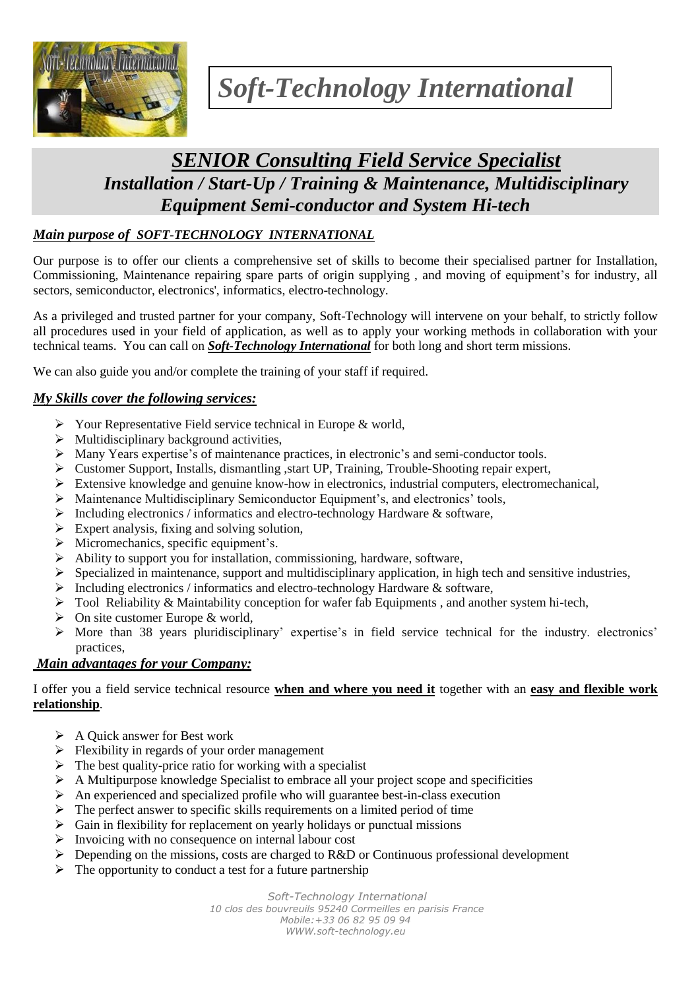

# *Soft-Technology International*

# *SENIOR Consulting Field Service Specialist Installation / Start-Up / Training & Maintenance, Multidisciplinary Equipment Semi-conductor and System Hi-tech*

# *Main purpose of SOFT-TECHNOLOGY INTERNATIONAL*

Our purpose is to offer our clients a comprehensive set of skills to become their specialised partner for Installation, Commissioning, Maintenance repairing spare parts of origin supplying , and moving of equipment's for industry, all sectors, semiconductor, electronics', informatics, electro-technology.

As a privileged and trusted partner for your company, Soft-Technology will intervene on your behalf, to strictly follow all procedures used in your field of application, as well as to apply your working methods in collaboration with your technical teams. You can call on *Soft-Technology International* for both long and short term missions.

We can also guide you and/or complete the training of your staff if required.

# *My Skills cover the following services:*

- $\triangleright$  Your Representative Field service technical in Europe & world,
- $\triangleright$  Multidisciplinary background activities,
- Many Years expertise's of maintenance practices, in electronic's and semi-conductor tools.
- Customer Support, Installs, dismantling ,start UP, Training, Trouble-Shooting repair expert,
- $\triangleright$  Extensive knowledge and genuine know-how in electronics, industrial computers, electromechanical,
- $\triangleright$  Maintenance Multidisciplinary Semiconductor Equipment's, and electronics' tools,
- $\triangleright$  Including electronics / informatics and electro-technology Hardware & software,
- $\triangleright$  Expert analysis, fixing and solving solution,
- $\triangleright$  Micromechanics, specific equipment's.
- $\triangleright$  Ability to support you for installation, commissioning, hardware, software,
- $\triangleright$  Specialized in maintenance, support and multidisciplinary application, in high tech and sensitive industries,
- $\triangleright$  Including electronics / informatics and electro-technology Hardware & software,
- $\triangleright$  Tool Reliability & Maintability conception for wafer fab Equipments, and another system hi-tech,
- $\triangleright$  On site customer Europe & world.
- $\triangleright$  More than 38 years pluridisciplinary' expertise's in field service technical for the industry. electronics' practices,

#### *Main advantages for your Company:*

I offer you a field service technical resource **when and where you need it** together with an **easy and flexible work relationship**.

- $\triangleright$  A Quick answer for Best work
- $\triangleright$  Flexibility in regards of your order management
- $\triangleright$  The best quality-price ratio for working with a specialist
- $\triangleright$  A Multipurpose knowledge Specialist to embrace all your project scope and specificities
- $\triangleright$  An experienced and specialized profile who will guarantee best-in-class execution
- $\triangleright$  The perfect answer to specific skills requirements on a limited period of time
- $\triangleright$  Gain in flexibility for replacement on yearly holidays or punctual missions
- $\triangleright$  Invoicing with no consequence on internal labour cost
- $\triangleright$  Depending on the missions, costs are charged to R&D or Continuous professional development
- $\triangleright$  The opportunity to conduct a test for a future partnership

*Soft-Technology International* 

*10 clos des bouvreuils 95240 Cormeilles en parisis France Mobile:+33 06 82 95 09 94 WWW.soft-technology.eu*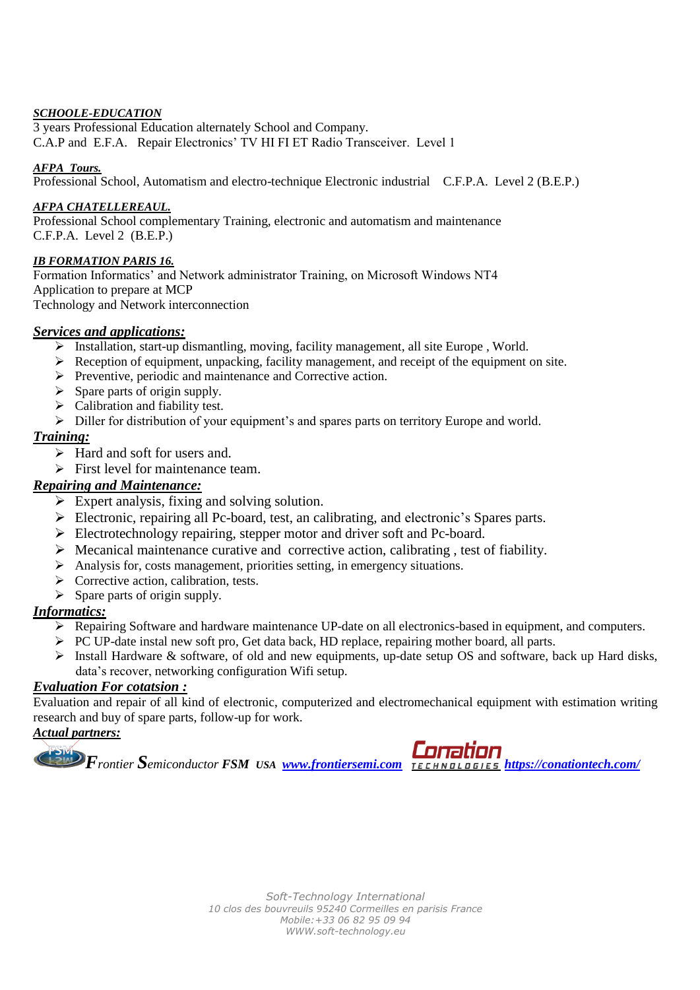#### *SCHOOLE-EDUCATION*

3 years Professional Education alternately School and Company. C.A.P and E.F.A. Repair Electronics' TV HI FI ET Radio Transceiver. Level 1

#### *AFPA Tours.*

Professional School, Automatism and electro-technique Electronic industrial C.F.P.A. Level 2 (B.E.P.)

#### *AFPA CHATELLEREAUL.*

Professional School complementary Training, electronic and automatism and maintenance C.F.P.A. Level 2 (B.E.P.)

#### *IB FORMATION PARIS 16.*

Formation Informatics' and Network administrator Training, on Microsoft Windows NT4 Application to prepare at MCP Technology and Network interconnection

#### *Services and applications:*

- $\triangleright$  Installation, start-up dismantling, moving, facility management, all site Europe , World.
- Reception of equipment, unpacking, facility management, and receipt of the equipment on site.
- $\triangleright$  Preventive, periodic and maintenance and Corrective action.
- $\triangleright$  Spare parts of origin supply.
- $\triangleright$  Calibration and fiability test.
- $\triangleright$  Diller for distribution of your equipment's and spares parts on territory Europe and world.

#### *Training:*

- $\triangleright$  Hard and soft for users and.
- $\triangleright$  First level for maintenance team.

#### *Repairing and Maintenance:*

- $\triangleright$  Expert analysis, fixing and solving solution.
- Electronic, repairing all Pc-board, test, an calibrating, and electronic's Spares parts.
- Electrotechnology repairing, stepper motor and driver soft and Pc-board.
- $\triangleright$  Mecanical maintenance curative and corrective action, calibrating, test of fiability.
- $\triangleright$  Analysis for, costs management, priorities setting, in emergency situations.
- $\triangleright$  Corrective action, calibration, tests.
- $\triangleright$  Spare parts of origin supply.

#### *Informatics:*

- Repairing Software and hardware maintenance UP-date on all electronics-based in equipment, and computers.
- PC UP-date instal new soft pro, Get data back, HD replace, repairing mother board, all parts.
- > Install Hardware & software, of old and new equipments, up-date setup OS and software, back up Hard disks, data's recover, networking configuration Wifi setup.

## *Evaluation For cotatsion :*

Evaluation and repair of all kind of electronic, computerized and electromechanical equipment with estimation writing research and buy of spare parts, follow-up for work.

# *Actual partners:*